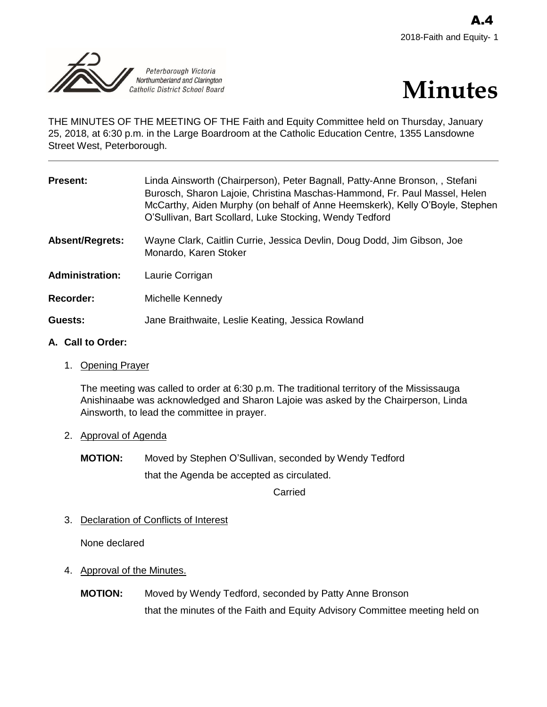



THE MINUTES OF THE MEETING OF THE Faith and Equity Committee held on Thursday, January 25, 2018, at 6:30 p.m. in the Large Boardroom at the Catholic Education Centre, 1355 Lansdowne Street West, Peterborough.

| <b>Present:</b>        | Linda Ainsworth (Chairperson), Peter Bagnall, Patty-Anne Bronson,, Stefani<br>Burosch, Sharon Lajoie, Christina Maschas-Hammond, Fr. Paul Massel, Helen<br>McCarthy, Aiden Murphy (on behalf of Anne Heemskerk), Kelly O'Boyle, Stephen<br>O'Sullivan, Bart Scollard, Luke Stocking, Wendy Tedford |
|------------------------|----------------------------------------------------------------------------------------------------------------------------------------------------------------------------------------------------------------------------------------------------------------------------------------------------|
| Absent/Regrets:        | Wayne Clark, Caitlin Currie, Jessica Devlin, Doug Dodd, Jim Gibson, Joe<br>Monardo, Karen Stoker                                                                                                                                                                                                   |
| <b>Administration:</b> | Laurie Corrigan                                                                                                                                                                                                                                                                                    |
| Recorder:              | Michelle Kennedy                                                                                                                                                                                                                                                                                   |
| Guests:                | Jane Braithwaite, Leslie Keating, Jessica Rowland                                                                                                                                                                                                                                                  |
|                        |                                                                                                                                                                                                                                                                                                    |

## **A. Call to Order:**

1. Opening Prayer

The meeting was called to order at 6:30 p.m. The traditional territory of the Mississauga Anishinaabe was acknowledged and Sharon Lajoie was asked by the Chairperson, Linda Ainsworth, to lead the committee in prayer.

# 2. Approval of Agenda

**MOTION:** Moved by Stephen O'Sullivan, seconded by Wendy Tedford that the Agenda be accepted as circulated.

Carried

3. Declaration of Conflicts of Interest

None declared

- 4. Approval of the Minutes.
	- **MOTION:** Moved by Wendy Tedford, seconded by Patty Anne Bronson that the minutes of the Faith and Equity Advisory Committee meeting held on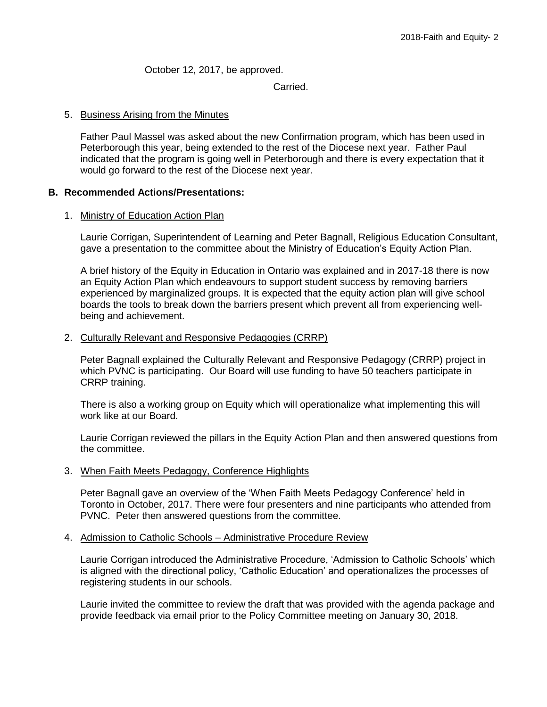October 12, 2017, be approved.

Carried.

### 5. Business Arising from the Minutes

Father Paul Massel was asked about the new Confirmation program, which has been used in Peterborough this year, being extended to the rest of the Diocese next year. Father Paul indicated that the program is going well in Peterborough and there is every expectation that it would go forward to the rest of the Diocese next year.

## **B. Recommended Actions/Presentations:**

### 1. Ministry of Education Action Plan

Laurie Corrigan, Superintendent of Learning and Peter Bagnall, Religious Education Consultant, gave a presentation to the committee about the Ministry of Education's Equity Action Plan.

A brief history of the Equity in Education in Ontario was explained and in 2017-18 there is now an Equity Action Plan which endeavours to support student success by removing barriers experienced by marginalized groups. It is expected that the equity action plan will give school boards the tools to break down the barriers present which prevent all from experiencing wellbeing and achievement.

### 2. Culturally Relevant and Responsive Pedagogies (CRRP)

Peter Bagnall explained the Culturally Relevant and Responsive Pedagogy (CRRP) project in which PVNC is participating. Our Board will use funding to have 50 teachers participate in CRRP training.

There is also a working group on Equity which will operationalize what implementing this will work like at our Board.

Laurie Corrigan reviewed the pillars in the Equity Action Plan and then answered questions from the committee.

### 3. When Faith Meets Pedagogy, Conference Highlights

Peter Bagnall gave an overview of the 'When Faith Meets Pedagogy Conference' held in Toronto in October, 2017. There were four presenters and nine participants who attended from PVNC. Peter then answered questions from the committee.

### 4. Admission to Catholic Schools – Administrative Procedure Review

Laurie Corrigan introduced the Administrative Procedure, 'Admission to Catholic Schools' which is aligned with the directional policy, 'Catholic Education' and operationalizes the processes of registering students in our schools.

Laurie invited the committee to review the draft that was provided with the agenda package and provide feedback via email prior to the Policy Committee meeting on January 30, 2018.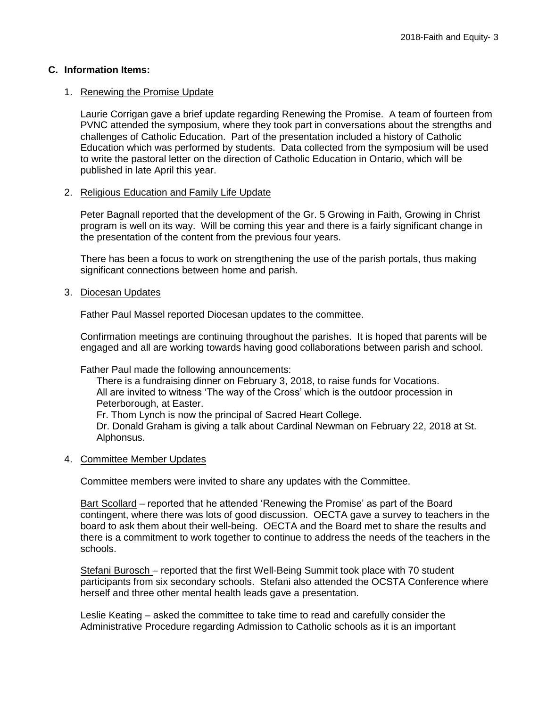# **C. Information Items:**

# 1. Renewing the Promise Update

Laurie Corrigan gave a brief update regarding Renewing the Promise. A team of fourteen from PVNC attended the symposium, where they took part in conversations about the strengths and challenges of Catholic Education. Part of the presentation included a history of Catholic Education which was performed by students. Data collected from the symposium will be used to write the pastoral letter on the direction of Catholic Education in Ontario, which will be published in late April this year.

# 2. Religious Education and Family Life Update

Peter Bagnall reported that the development of the Gr. 5 Growing in Faith, Growing in Christ program is well on its way. Will be coming this year and there is a fairly significant change in the presentation of the content from the previous four years.

There has been a focus to work on strengthening the use of the parish portals, thus making significant connections between home and parish.

### 3. Diocesan Updates

Father Paul Massel reported Diocesan updates to the committee.

Confirmation meetings are continuing throughout the parishes. It is hoped that parents will be engaged and all are working towards having good collaborations between parish and school.

Father Paul made the following announcements:

There is a fundraising dinner on February 3, 2018, to raise funds for Vocations. All are invited to witness 'The way of the Cross' which is the outdoor procession in Peterborough, at Easter. Fr. Thom Lynch is now the principal of Sacred Heart College.

Dr. Donald Graham is giving a talk about Cardinal Newman on February 22, 2018 at St. Alphonsus.

# 4. Committee Member Updates

Committee members were invited to share any updates with the Committee.

Bart Scollard – reported that he attended 'Renewing the Promise' as part of the Board contingent, where there was lots of good discussion. OECTA gave a survey to teachers in the board to ask them about their well-being. OECTA and the Board met to share the results and there is a commitment to work together to continue to address the needs of the teachers in the schools.

Stefani Burosch – reported that the first Well-Being Summit took place with 70 student participants from six secondary schools. Stefani also attended the OCSTA Conference where herself and three other mental health leads gave a presentation.

Leslie Keating – asked the committee to take time to read and carefully consider the Administrative Procedure regarding Admission to Catholic schools as it is an important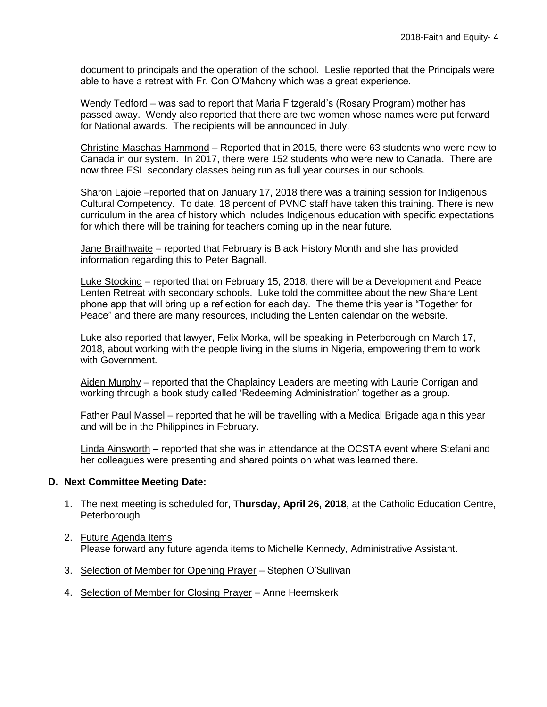document to principals and the operation of the school. Leslie reported that the Principals were able to have a retreat with Fr. Con O'Mahony which was a great experience.

Wendy Tedford – was sad to report that Maria Fitzgerald's (Rosary Program) mother has passed away. Wendy also reported that there are two women whose names were put forward for National awards. The recipients will be announced in July.

Christine Maschas Hammond – Reported that in 2015, there were 63 students who were new to Canada in our system. In 2017, there were 152 students who were new to Canada. There are now three ESL secondary classes being run as full year courses in our schools.

Sharon Lajoie -reported that on January 17, 2018 there was a training session for Indigenous Cultural Competency. To date, 18 percent of PVNC staff have taken this training. There is new curriculum in the area of history which includes Indigenous education with specific expectations for which there will be training for teachers coming up in the near future.

Jane Braithwaite – reported that February is Black History Month and she has provided information regarding this to Peter Bagnall.

Luke Stocking – reported that on February 15, 2018, there will be a Development and Peace Lenten Retreat with secondary schools. Luke told the committee about the new Share Lent phone app that will bring up a reflection for each day. The theme this year is "Together for Peace" and there are many resources, including the Lenten calendar on the website.

Luke also reported that lawyer, Felix Morka, will be speaking in Peterborough on March 17, 2018, about working with the people living in the slums in Nigeria, empowering them to work with Government.

Aiden Murphy - reported that the Chaplaincy Leaders are meeting with Laurie Corrigan and working through a book study called 'Redeeming Administration' together as a group.

Father Paul Massel – reported that he will be travelling with a Medical Brigade again this year and will be in the Philippines in February.

Linda Ainsworth – reported that she was in attendance at the OCSTA event where Stefani and her colleagues were presenting and shared points on what was learned there.

# **D. Next Committee Meeting Date:**

- 1. The next meeting is scheduled for, **Thursday, April 26, 2018**, at the Catholic Education Centre, **Peterborough**
- 2. Future Agenda Items Please forward any future agenda items to Michelle Kennedy, Administrative Assistant.
- 3. Selection of Member for Opening Prayer Stephen O'Sullivan
- 4. Selection of Member for Closing Prayer Anne Heemskerk